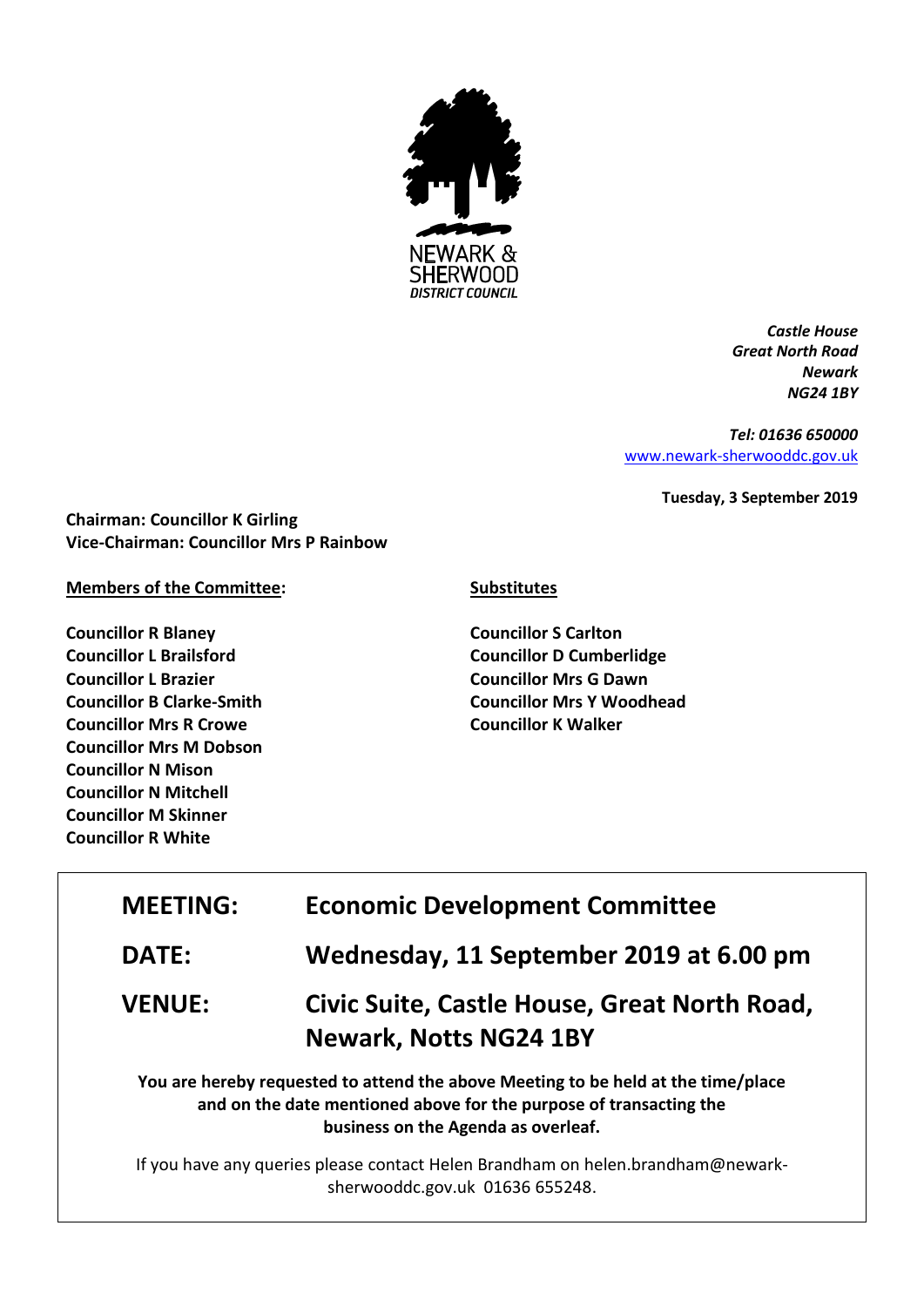

*Castle House Great North Road Newark NG24 1BY*

*Tel: 01636 650000* [www.newark-sherwooddc.gov.uk](http://www.newark-sherwooddc.gov.uk/)

**Tuesday, 3 September 2019**

**Chairman: Councillor K Girling Vice-Chairman: Councillor Mrs P Rainbow**

**Members of the Committee:**

**Councillor R Blaney Councillor L Brailsford Councillor L Brazier Councillor B Clarke-Smith Councillor Mrs R Crowe Councillor Mrs M Dobson Councillor N Mison Councillor N Mitchell Councillor M Skinner Councillor R White**

## **Substitutes**

**Councillor S Carlton Councillor D Cumberlidge Councillor Mrs G Dawn Councillor Mrs Y Woodhead Councillor K Walker**

| <b>MEETING:</b>                                                                                                                                                                                | <b>Economic Development Committee</b>                                                                              |  |
|------------------------------------------------------------------------------------------------------------------------------------------------------------------------------------------------|--------------------------------------------------------------------------------------------------------------------|--|
| <b>DATE:</b>                                                                                                                                                                                   | Wednesday, 11 September 2019 at 6.00 pm                                                                            |  |
| <b>VENUE:</b>                                                                                                                                                                                  | Civic Suite, Castle House, Great North Road,<br><b>Newark, Notts NG24 1BY</b>                                      |  |
| You are hereby requested to attend the above Meeting to be held at the time/place<br>and on the date mentioned above for the purpose of transacting the<br>business on the Agenda as overleaf. |                                                                                                                    |  |
|                                                                                                                                                                                                | If you have any queries please contact Helen Brandham on helen.brandham@newark-<br>sherwooddc.gov.uk 01636 655248. |  |